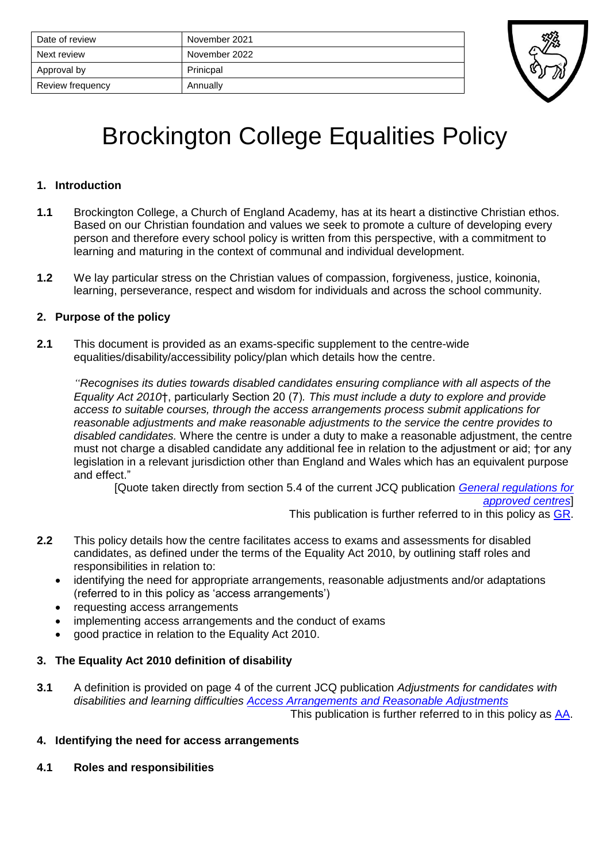| Date of review   | November 2021 |
|------------------|---------------|
| Next review      | November 2022 |
| Approval by      | Prinicpal     |
| Review frequency | Annually      |



# Brockington College Equalities Policy

#### **1. Introduction**

- **1.1** Brockington College, a Church of England Academy, has at its heart a distinctive Christian ethos. Based on our Christian foundation and values we seek to promote a culture of developing every person and therefore every school policy is written from this perspective, with a commitment to learning and maturing in the context of communal and individual development.
- **1.2** We lay particular stress on the Christian values of compassion, forgiveness, justice, koinonia, learning, perseverance, respect and wisdom for individuals and across the school community.

# **2. Purpose of the policy**

**2.1** This document is provided as an exams-specific supplement to the centre-wide equalities/disability/accessibility policy/plan which details how the centre.

*"Recognises its duties towards disabled candidates ensuring compliance with all aspects of the Equality Act 2010*†, particularly Section 20 (7)*. This must include a duty to explore and provide access to suitable courses, through the access arrangements process submit applications for reasonable adjustments and make reasonable adjustments to the service the centre provides to disabled candidates.* Where the centre is under a duty to make a reasonable adjustment, the centre must not charge a disabled candidate any additional fee in relation to the adjustment or aid; †or any legislation in a relevant jurisdiction other than England and Wales which has an equivalent purpose and effect."

[Quote taken directly from section 5.4 of the current JCQ publication *[General regulations for](http://www.jcq.org.uk/exams-office/general-regulations)* 

*[approved centres](http://www.jcq.org.uk/exams-office/general-regulations)*]

This publication is further referred to in this policy as [GR.](http://www.jcq.org.uk/exams-office/general-regulations)

- **2.2** This policy details how the centre facilitates access to exams and assessments for disabled candidates, as defined under the terms of the Equality Act 2010, by outlining staff roles and responsibilities in relation to:
	- identifying the need for appropriate arrangements, reasonable adjustments and/or adaptations (referred to in this policy as 'access arrangements')
	- requesting access arrangements
	- implementing access arrangements and the conduct of exams
	- good practice in relation to the Equality Act 2010.

# **3. The Equality Act 2010 definition of disability**

**3.1** A definition is provided on page 4 of the current JCQ publication *Adjustments for candidates with disabilities and learning difficulties [Access Arrangements and Reasonable Adjustments](http://www.jcq.org.uk/exams-office/access-arrangements-and-special-consideration/regulations-and-guidance)* This publication is further referred to in this policy as [AA.](http://www.jcq.org.uk/exams-office/access-arrangements-and-special-consideration/regulations-and-guidance)

**4. Identifying the need for access arrangements**

**4.1 Roles and responsibilities**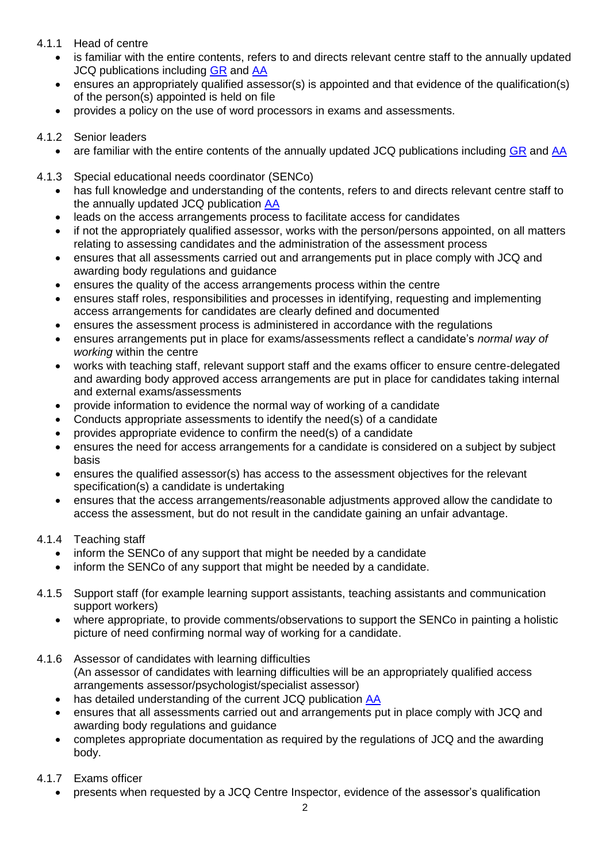## 4.1.1 Head of centre

- is familiar with the entire contents, refers to and directs relevant centre staff to the annually updated JCQ publications including [GR](http://www.jcq.org.uk/exams-office/general-regulations) and [AA](http://www.jcq.org.uk/exams-office/access-arrangements-and-special-consideration/regulations-and-guidance)
- ensures an appropriately qualified assessor(s) is appointed and that evidence of the qualification(s) of the person(s) appointed is held on file
- provides a policy on the use of word processors in exams and assessments.

# 4.1.2 Senior leaders

- are familiar with the entire contents of the annually updated JCQ publications including [GR](http://www.jcq.org.uk/exams-office/general-regulations) and [AA](http://www.jcq.org.uk/exams-office/access-arrangements-and-special-consideration/regulations-and-guidance)
- 4.1.3 Special educational needs coordinator (SENCo)
	- has full knowledge and understanding of the contents, refers to and directs relevant centre staff to the annually updated JCQ publication [AA](http://www.jcq.org.uk/exams-office/access-arrangements-and-special-consideration/regulations-and-guidance)
	- leads on the access arrangements process to facilitate access for candidates
	- if not the appropriately qualified assessor, works with the person/persons appointed, on all matters relating to assessing candidates and the administration of the assessment process
	- ensures that all assessments carried out and arrangements put in place comply with JCQ and awarding body regulations and guidance
	- ensures the quality of the access arrangements process within the centre
	- ensures staff roles, responsibilities and processes in identifying, requesting and implementing access arrangements for candidates are clearly defined and documented
	- ensures the assessment process is administered in accordance with the regulations
	- ensures arrangements put in place for exams/assessments reflect a candidate's *normal way of working* within the centre
	- works with teaching staff, relevant support staff and the exams officer to ensure centre-delegated and awarding body approved access arrangements are put in place for candidates taking internal and external exams/assessments
	- provide information to evidence the normal way of working of a candidate
	- Conducts appropriate assessments to identify the need(s) of a candidate
	- provides appropriate evidence to confirm the need(s) of a candidate
	- ensures the need for access arrangements for a candidate is considered on a subject by subject basis
	- ensures the qualified assessor(s) has access to the assessment objectives for the relevant specification(s) a candidate is undertaking
	- ensures that the access arrangements/reasonable adjustments approved allow the candidate to access the assessment, but do not result in the candidate gaining an unfair advantage.

# 4.1.4 Teaching staff

- inform the SENCo of any support that might be needed by a candidate
- inform the SENCo of any support that might be needed by a candidate.
- 4.1.5 Support staff (for example learning support assistants, teaching assistants and communication support workers)
	- where appropriate, to provide comments/observations to support the SENCo in painting a holistic picture of need confirming normal way of working for a candidate.
- 4.1.6 Assessor of candidates with learning difficulties (An assessor of candidates with learning difficulties will be an appropriately qualified access arrangements assessor/psychologist/specialist assessor)
	- has detailed understanding of the current JCQ publication [AA](http://www.jcq.org.uk/exams-office/access-arrangements-and-special-consideration/regulations-and-guidance)
	- ensures that all assessments carried out and arrangements put in place comply with JCQ and awarding body regulations and guidance
	- completes appropriate documentation as required by the regulations of JCQ and the awarding body.
- 4.1.7 Exams officer
	- presents when requested by a JCQ Centre Inspector, evidence of the assessor's qualification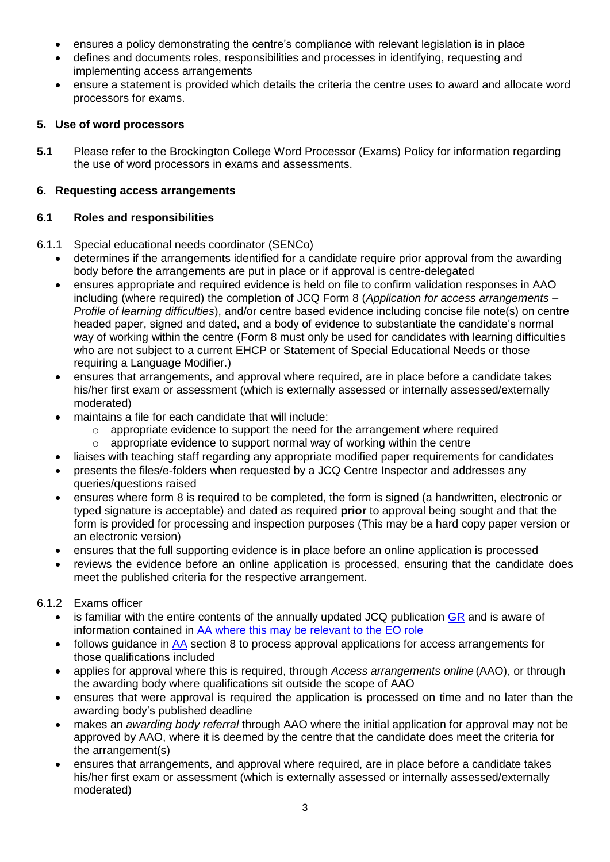- ensures a policy demonstrating the centre's compliance with relevant legislation is in place
- defines and documents roles, responsibilities and processes in identifying, requesting and implementing access arrangements
- ensure a statement is provided which details the criteria the centre uses to award and allocate word processors for exams.

# **5. Use of word processors**

**5.1** Please refer to the Brockington College Word Processor (Exams) Policy for information regarding the use of word processors in exams and assessments.

# **6. Requesting access arrangements**

# **6.1 Roles and responsibilities**

- 6.1.1 Special educational needs coordinator (SENCo)
	- determines if the arrangements identified for a candidate require prior approval from the awarding body before the arrangements are put in place or if approval is centre-delegated
	- ensures appropriate and required evidence is held on file to confirm validation responses in AAO including (where required) the completion of JCQ Form 8 (*Application for access arrangements – Profile of learning difficulties*), and/or centre based evidence including concise file note(s) on centre headed paper, signed and dated, and a body of evidence to substantiate the candidate's normal way of working within the centre (Form 8 must only be used for candidates with learning difficulties who are not subject to a current EHCP or Statement of Special Educational Needs or those requiring a Language Modifier.)
	- ensures that arrangements, and approval where required, are in place before a candidate takes his/her first exam or assessment (which is externally assessed or internally assessed/externally moderated)
	- maintains a file for each candidate that will include:
		- $\circ$  appropriate evidence to support the need for the arrangement where required
		- o appropriate evidence to support normal way of working within the centre
	- liaises with teaching staff regarding any appropriate modified paper requirements for candidates
	- presents the files/e-folders when requested by a JCQ Centre Inspector and addresses any queries/questions raised
	- ensures where form 8 is required to be completed, the form is signed (a handwritten, electronic or typed signature is acceptable) and dated as required **prior** to approval being sought and that the form is provided for processing and inspection purposes (This may be a hard copy paper version or an electronic version)
	- ensures that the full supporting evidence is in place before an online application is processed
	- reviews the evidence before an online application is processed, ensuring that the candidate does meet the published criteria for the respective arrangement.

# 6.1.2 Exams officer

- is familiar with the entire contents of the annually updated JCQ publication [GR](http://www.jcq.org.uk/exams-office/general-regulations) and is aware of information contained in [AA](http://www.jcq.org.uk/exams-office/access-arrangements-and-special-consideration/regulations-and-guidance) where this may be relevant to the EO role
- follows guidance in [AA](http://www.jcq.org.uk/exams-office/access-arrangements-and-special-consideration) section 8 to process approval applications for access arrangements for those qualifications included
- applies for approval where this is required, through *Access arrangements online* (AAO), or through the awarding body where qualifications sit outside the scope of AAO
- ensures that were approval is required the application is processed on time and no later than the awarding body's published deadline
- makes an *awarding body referral* through AAO where the initial application for approval may not be approved by AAO, where it is deemed by the centre that the candidate does meet the criteria for the arrangement(s)
- ensures that arrangements, and approval where required, are in place before a candidate takes his/her first exam or assessment (which is externally assessed or internally assessed/externally moderated)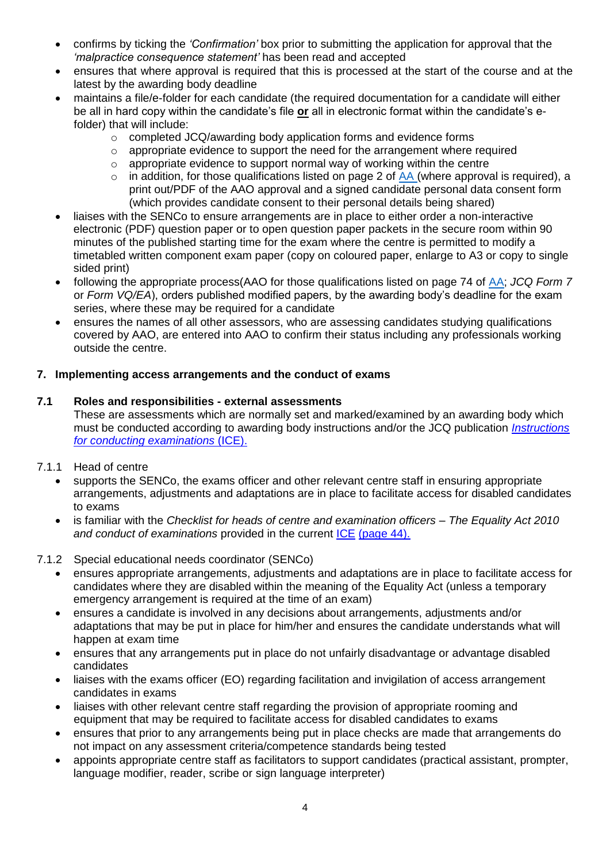- confirms by ticking the *'Confirmation'* box prior to submitting the application for approval that the *'malpractice consequence statement'* has been read and accepted
- ensures that where approval is required that this is processed at the start of the course and at the latest by the awarding body deadline
- maintains a file/e-folder for each candidate (the required documentation for a candidate will either be all in hard copy within the candidate's file **or** all in electronic format within the candidate's efolder) that will include:
	- o completed JCQ/awarding body application forms and evidence forms
	- o appropriate evidence to support the need for the arrangement where required
	- o appropriate evidence to support normal way of working within the centre
	- $\circ$  in addition, for those qualifications listed on page 2 of [AA](http://www.jcq.org.uk/exams-office/access-arrangements-and-special-consideration) (where approval is required), a print out/PDF of the AAO approval and a signed candidate personal data consent form (which provides candidate consent to their personal details being shared)
- liaises with the SENCo to ensure arrangements are in place to either order a non-interactive electronic (PDF) question paper or to open question paper packets in the secure room within 90 minutes of the published starting time for the exam where the centre is permitted to modify a timetabled written component exam paper (copy on coloured paper, enlarge to A3 or copy to single sided print)
- following the appropriate process(AAO for those qualifications listed on page 74 of [AA;](https://www.jcq.org.uk/exams-office/access-arrangements-and-special-consideration) *JCQ Form 7* or *Form VQ/EA*), orders published modified papers, by the awarding body's deadline for the exam series, where these may be required for a candidate
- ensures the names of all other assessors, who are assessing candidates studying qualifications covered by AAO, are entered into AAO to confirm their status including any professionals working outside the centre.

#### **7. Implementing access arrangements and the conduct of exams**

#### **7.1 Roles and responsibilities - external assessments**

These are assessments which are normally set and marked/examined by an awarding body which must be conducted according to awarding body instructions and/or the JCQ publication *[Instructions](http://www.jcq.org.uk/exams-office/ice---instructions-for-conducting-examinations)  [for conducting examinations](http://www.jcq.org.uk/exams-office/ice---instructions-for-conducting-examinations)* (ICE).

- 7.1.1 Head of centre
	- supports the SENCo, the exams officer and other relevant centre staff in ensuring appropriate arrangements, adjustments and adaptations are in place to facilitate access for disabled candidates to exams
	- is familiar with the *Checklist for heads of centre and examination officers – The Equality Act 2010 and conduct of examinations* provided in the current [ICE](http://www.jcq.org.uk/exams-office/ice---instructions-for-conducting-examinations) (page 44).

# 7.1.2 Special educational needs coordinator (SENCo)

- ensures appropriate arrangements, adjustments and adaptations are in place to facilitate access for candidates where they are disabled within the meaning of the Equality Act (unless a temporary emergency arrangement is required at the time of an exam)
- ensures a candidate is involved in any decisions about arrangements, adjustments and/or adaptations that may be put in place for him/her and ensures the candidate understands what will happen at exam time
- ensures that any arrangements put in place do not unfairly disadvantage or advantage disabled candidates
- liaises with the exams officer (EO) regarding facilitation and invigilation of access arrangement candidates in exams
- liaises with other relevant centre staff regarding the provision of appropriate rooming and equipment that may be required to facilitate access for disabled candidates to exams
- ensures that prior to any arrangements being put in place checks are made that arrangements do not impact on any assessment criteria/competence standards being tested
- appoints appropriate centre staff as facilitators to support candidates (practical assistant, prompter, language modifier, reader, scribe or sign language interpreter)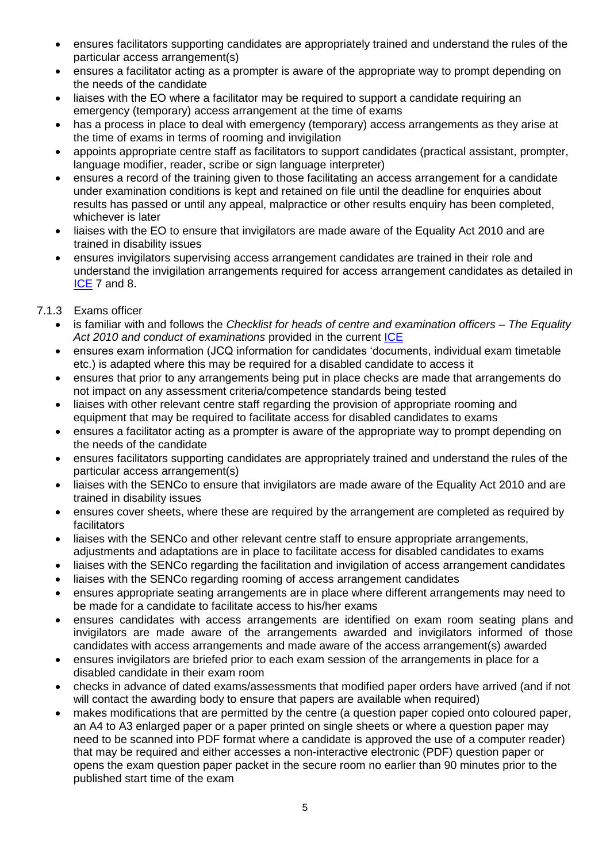- ensures facilitators supporting candidates are appropriately trained and understand the rules of the particular access arrangement(s)
- ensures a facilitator acting as a prompter is aware of the appropriate way to prompt depending on the needs of the candidate
- liaises with the EO where a facilitator may be required to support a candidate requiring an emergency (temporary) access arrangement at the time of exams
- has a process in place to deal with emergency (temporary) access arrangements as they arise at the time of exams in terms of rooming and invigilation
- appoints appropriate centre staff as facilitators to support candidates (practical assistant, prompter, language modifier, reader, scribe or sign language interpreter)
- ensures a record of the training given to those facilitating an access arrangement for a candidate under examination conditions is kept and retained on file until the deadline for enquiries about results has passed or until any appeal, malpractice or other results enquiry has been completed, whichever is later
- liaises with the EO to ensure that invigilators are made aware of the Equality Act 2010 and are trained in disability issues
- ensures invigilators supervising access arrangement candidates are trained in their role and understand the invigilation arrangements required for access arrangement candidates as detailed in [ICE](http://www.jcq.org.uk/exams-office/ice---instructions-for-conducting-examinations) 7 and 8.
- 7.1.3 Exams officer
	- is familiar with and follows the *Checklist for heads of centre and examination officers – The Equality Act 2010 and conduct of examinations* provided in the current [ICE](http://www.jcq.org.uk/exams-office/ice---instructions-for-conducting-examinations)
	- ensures exam information (JCQ information for candidates 'documents, individual exam timetable etc.) is adapted where this may be required for a disabled candidate to access it
	- ensures that prior to any arrangements being put in place checks are made that arrangements do not impact on any assessment criteria/competence standards being tested
	- liaises with other relevant centre staff regarding the provision of appropriate rooming and equipment that may be required to facilitate access for disabled candidates to exams
	- ensures a facilitator acting as a prompter is aware of the appropriate way to prompt depending on the needs of the candidate
	- ensures facilitators supporting candidates are appropriately trained and understand the rules of the particular access arrangement(s)
	- liaises with the SENCo to ensure that invigilators are made aware of the Equality Act 2010 and are trained in disability issues
	- ensures cover sheets, where these are required by the arrangement are completed as required by facilitators
	- liaises with the SENCo and other relevant centre staff to ensure appropriate arrangements, adjustments and adaptations are in place to facilitate access for disabled candidates to exams
	- liaises with the SENCo regarding the facilitation and invigilation of access arrangement candidates
	- liaises with the SENCo regarding rooming of access arrangement candidates
	- ensures appropriate seating arrangements are in place where different arrangements may need to be made for a candidate to facilitate access to his/her exams
	- ensures candidates with access arrangements are identified on exam room seating plans and invigilators are made aware of the arrangements awarded and invigilators informed of those candidates with access arrangements and made aware of the access arrangement(s) awarded
	- ensures invigilators are briefed prior to each exam session of the arrangements in place for a disabled candidate in their exam room
	- checks in advance of dated exams/assessments that modified paper orders have arrived (and if not will contact the awarding body to ensure that papers are available when required)
	- makes modifications that are permitted by the centre (a question paper copied onto coloured paper, an A4 to A3 enlarged paper or a paper printed on single sheets or where a question paper may need to be scanned into PDF format where a candidate is approved the use of a computer reader) that may be required and either accesses a non-interactive electronic (PDF) question paper or opens the exam question paper packet in the secure room no earlier than 90 minutes prior to the published start time of the exam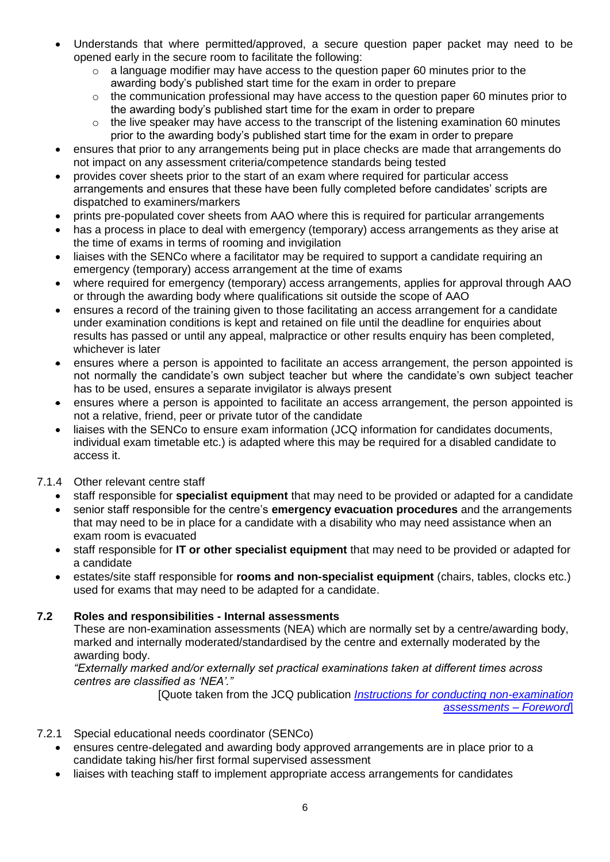- Understands that where permitted/approved, a secure question paper packet may need to be opened early in the secure room to facilitate the following:
	- $\circ$  a language modifier may have access to the question paper 60 minutes prior to the awarding body's published start time for the exam in order to prepare
	- o the communication professional may have access to the question paper 60 minutes prior to the awarding body's published start time for the exam in order to prepare
	- $\circ$  the live speaker may have access to the transcript of the listening examination 60 minutes prior to the awarding body's published start time for the exam in order to prepare
- ensures that prior to any arrangements being put in place checks are made that arrangements do not impact on any assessment criteria/competence standards being tested
- provides cover sheets prior to the start of an exam where required for particular access arrangements and ensures that these have been fully completed before candidates' scripts are dispatched to examiners/markers
- prints pre-populated cover sheets from AAO where this is required for particular arrangements
- has a process in place to deal with emergency (temporary) access arrangements as they arise at the time of exams in terms of rooming and invigilation
- liaises with the SENCo where a facilitator may be required to support a candidate requiring an emergency (temporary) access arrangement at the time of exams
- where required for emergency (temporary) access arrangements, applies for approval through AAO or through the awarding body where qualifications sit outside the scope of AAO
- ensures a record of the training given to those facilitating an access arrangement for a candidate under examination conditions is kept and retained on file until the deadline for enquiries about results has passed or until any appeal, malpractice or other results enquiry has been completed, whichever is later
- ensures where a person is appointed to facilitate an access arrangement, the person appointed is not normally the candidate's own subject teacher but where the candidate's own subject teacher has to be used, ensures a separate invigilator is always present
- ensures where a person is appointed to facilitate an access arrangement, the person appointed is not a relative, friend, peer or private tutor of the candidate
- liaises with the SENCo to ensure exam information (JCQ information for candidates documents, individual exam timetable etc.) is adapted where this may be required for a disabled candidate to access it.

# 7.1.4 Other relevant centre staff

- staff responsible for **specialist equipment** that may need to be provided or adapted for a candidate
- senior staff responsible for the centre's **emergency evacuation procedures** and the arrangements that may need to be in place for a candidate with a disability who may need assistance when an exam room is evacuated
- staff responsible for **IT or other specialist equipment** that may need to be provided or adapted for a candidate
- estates/site staff responsible for **rooms and non-specialist equipment** (chairs, tables, clocks etc.) used for exams that may need to be adapted for a candidate.

# **7.2 Roles and responsibilities - Internal assessments**

These are non-examination assessments (NEA) which are normally set by a centre/awarding body, marked and internally moderated/standardised by the centre and externally moderated by the awarding body.

*"Externally marked and/or externally set practical examinations taken at different times across centres are classified as 'NEA'."*

 [Quote taken from the JCQ publication *[Instructions for conducting non-examination](http://www.jcq.org.uk/exams-office/non-examination-assessments)  [assessments](http://www.jcq.org.uk/exams-office/non-examination-assessments)* – *Foreword*]

- 7.2.1 Special educational needs coordinator (SENCo)
	- ensures centre-delegated and awarding body approved arrangements are in place prior to a candidate taking his/her first formal supervised assessment
	- liaises with teaching staff to implement appropriate access arrangements for candidates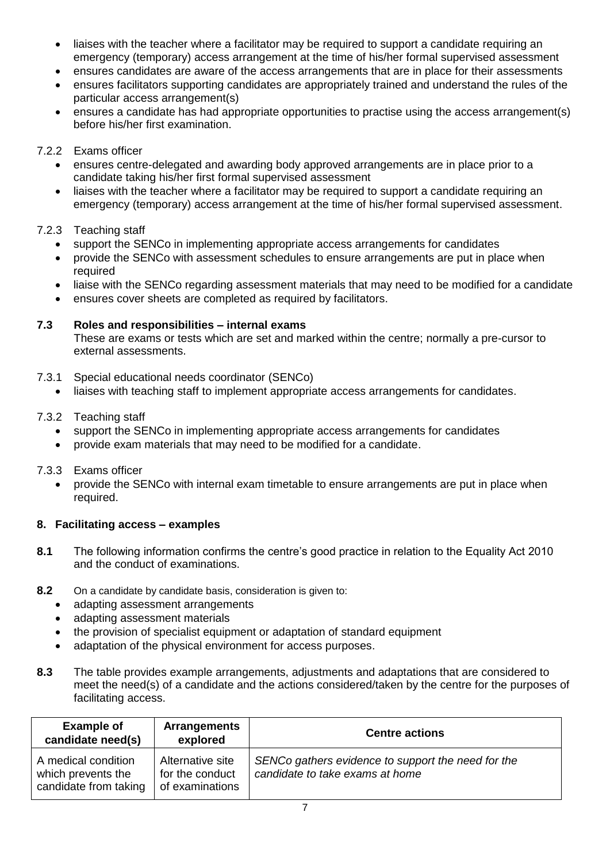- liaises with the teacher where a facilitator may be required to support a candidate requiring an emergency (temporary) access arrangement at the time of his/her formal supervised assessment
- ensures candidates are aware of the access arrangements that are in place for their assessments
- ensures facilitators supporting candidates are appropriately trained and understand the rules of the particular access arrangement(s)
- ensures a candidate has had appropriate opportunities to practise using the access arrangement(s) before his/her first examination.

## 7.2.2 Exams officer

- ensures centre-delegated and awarding body approved arrangements are in place prior to a candidate taking his/her first formal supervised assessment
- liaises with the teacher where a facilitator may be required to support a candidate requiring an emergency (temporary) access arrangement at the time of his/her formal supervised assessment.

#### 7.2.3 Teaching staff

- support the SENCo in implementing appropriate access arrangements for candidates
- provide the SENCo with assessment schedules to ensure arrangements are put in place when required
- liaise with the SENCo regarding assessment materials that may need to be modified for a candidate
- ensures cover sheets are completed as required by facilitators.

#### **7.3 Roles and responsibilities – internal exams**

These are exams or tests which are set and marked within the centre; normally a pre-cursor to external assessments.

- 7.3.1 Special educational needs coordinator (SENCo)
	- liaises with teaching staff to implement appropriate access arrangements for candidates.

#### 7.3.2 Teaching staff

- support the SENCo in implementing appropriate access arrangements for candidates
- provide exam materials that may need to be modified for a candidate.

#### 7.3.3 Exams officer

• provide the SENCo with internal exam timetable to ensure arrangements are put in place when required.

# **8. Facilitating access – examples**

- **8.1** The following information confirms the centre's good practice in relation to the Equality Act 2010 and the conduct of examinations.
- **8.2** On a candidate by candidate basis, consideration is given to:
	- adapting assessment arrangements
	- adapting assessment materials
	- the provision of specialist equipment or adaptation of standard equipment
	- adaptation of the physical environment for access purposes.
- **8.3** The table provides example arrangements, adjustments and adaptations that are considered to meet the need(s) of a candidate and the actions considered/taken by the centre for the purposes of facilitating access.

| <b>Example of</b><br>candidate need(s)                             | <b>Arrangements</b><br>explored                        | <b>Centre actions</b>                                                                 |
|--------------------------------------------------------------------|--------------------------------------------------------|---------------------------------------------------------------------------------------|
| A medical condition<br>which prevents the<br>candidate from taking | Alternative site<br>for the conduct<br>of examinations | SENCo gathers evidence to support the need for the<br>candidate to take exams at home |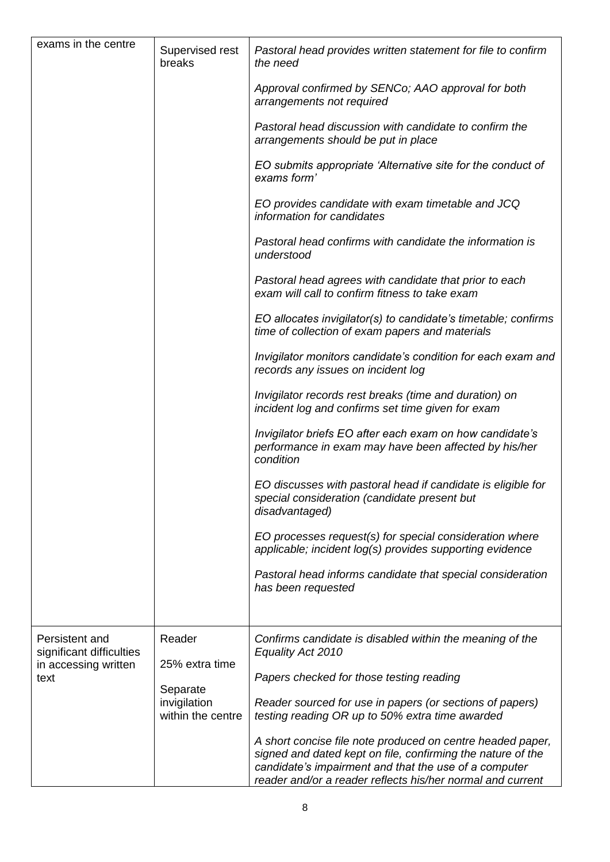| exams in the centre                                                        | Supervised rest<br>breaks                                                 | Pastoral head provides written statement for file to confirm<br>the need                                                                                                                                                                         |
|----------------------------------------------------------------------------|---------------------------------------------------------------------------|--------------------------------------------------------------------------------------------------------------------------------------------------------------------------------------------------------------------------------------------------|
|                                                                            |                                                                           | Approval confirmed by SENCo; AAO approval for both<br>arrangements not required                                                                                                                                                                  |
|                                                                            |                                                                           | Pastoral head discussion with candidate to confirm the<br>arrangements should be put in place                                                                                                                                                    |
|                                                                            |                                                                           | EO submits appropriate 'Alternative site for the conduct of<br>exams form'                                                                                                                                                                       |
|                                                                            |                                                                           | EO provides candidate with exam timetable and JCQ<br>information for candidates                                                                                                                                                                  |
|                                                                            |                                                                           | Pastoral head confirms with candidate the information is<br>understood                                                                                                                                                                           |
|                                                                            |                                                                           | Pastoral head agrees with candidate that prior to each<br>exam will call to confirm fitness to take exam                                                                                                                                         |
|                                                                            |                                                                           | EO allocates invigilator(s) to candidate's timetable; confirms<br>time of collection of exam papers and materials                                                                                                                                |
|                                                                            |                                                                           | Invigilator monitors candidate's condition for each exam and<br>records any issues on incident log                                                                                                                                               |
|                                                                            |                                                                           | Invigilator records rest breaks (time and duration) on<br>incident log and confirms set time given for exam                                                                                                                                      |
|                                                                            |                                                                           | Invigilator briefs EO after each exam on how candidate's<br>performance in exam may have been affected by his/her<br>condition                                                                                                                   |
|                                                                            |                                                                           | EO discusses with pastoral head if candidate is eligible for<br>special consideration (candidate present but<br>disadvantaged)                                                                                                                   |
|                                                                            |                                                                           | EO processes request(s) for special consideration where<br>applicable; incident log(s) provides supporting evidence                                                                                                                              |
|                                                                            |                                                                           | Pastoral head informs candidate that special consideration<br>has been requested                                                                                                                                                                 |
|                                                                            |                                                                           |                                                                                                                                                                                                                                                  |
| Persistent and<br>significant difficulties<br>in accessing written<br>text | Reader<br>25% extra time<br>Separate<br>invigilation<br>within the centre | Confirms candidate is disabled within the meaning of the<br>Equality Act 2010                                                                                                                                                                    |
|                                                                            |                                                                           | Papers checked for those testing reading                                                                                                                                                                                                         |
|                                                                            |                                                                           | Reader sourced for use in papers (or sections of papers)<br>testing reading OR up to 50% extra time awarded                                                                                                                                      |
|                                                                            |                                                                           | A short concise file note produced on centre headed paper,<br>signed and dated kept on file, confirming the nature of the<br>candidate's impairment and that the use of a computer<br>reader and/or a reader reflects his/her normal and current |